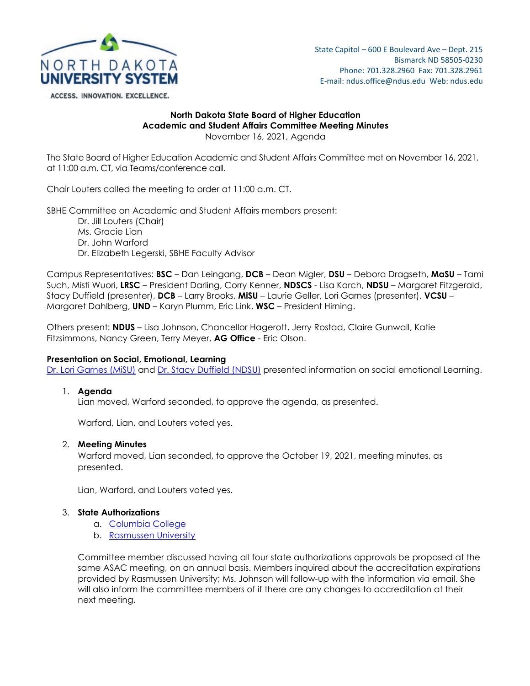

### **North Dakota State Board of Higher Education Academic and Student Affairs Committee Meeting Minutes** November 16, 2021, Agenda

The State Board of Higher Education Academic and Student Affairs Committee met on November 16, 2021, at 11:00 a.m. CT, via Teams/conference call.

Chair Louters called the meeting to order at 11:00 a.m. CT.

SBHE Committee on Academic and Student Affairs members present:

Dr. Jill Louters (Chair) Ms. Gracie Lian Dr. John Warford Dr. Elizabeth Legerski, SBHE Faculty Advisor

Campus Representatives: **BSC** – Dan Leingang, **DCB** – Dean Migler, **DSU** – Debora Dragseth, **MaSU** – Tami Such, Misti Wuori, **LRSC** – President Darling, Corry Kenner, **NDSCS** - Lisa Karch, **NDSU** – Margaret Fitzgerald, Stacy Duffield (presenter), **DCB** – Larry Brooks, **MiSU** – Laurie Geller, Lori Garnes (presenter), **VCSU** – Margaret Dahlberg, **UND** – Karyn Plumm, Eric Link, **WSC** – President Hirning.

Others present: **NDUS** – Lisa Johnson, Chancellor Hagerott, Jerry Rostad, Claire Gunwall, Katie Fitzsimmons, Nancy Green, Terry Meyer, **AG Office** - Eric Olson.

# **Presentation on Social, Emotional, Learning**

[Dr. Lori Garnes \(MiSU\)](https://ndusbpos.sharepoint.com/:p:/s/NDUSSBHE/ESGulylWrmFLmghcWstVYJoB1qppHmBAOR486-LWAxbSFw?e=Hc7Kxf) and [Dr. Stacy Duffield \(NDSU\)](https://ndusbpos.sharepoint.com/:p:/s/NDUSSBHE/EabIfO6jMfBOhYKzQKvwGgYBQjb3zWHiy0-HGbSsyUaOqQ?e=3DyNZG) presented information on social emotional Learning.

# 1. **Agenda**

Lian moved, Warford seconded, to approve the agenda, as presented.

Warford, Lian, and Louters voted yes.

#### 2. **Meeting Minutes**

Warford moved, Lian seconded, to approve the October 19, 2021, meeting minutes, as presented.

Lian, Warford, and Louters voted yes.

# 3. **State Authorizations**

- a. [Columbia College](https://ndusbpos.sharepoint.com/:b:/s/NDUSSBHE/EYfEpQBox-tIg5A9pTOrJOABXSMQw4ji24mWHWI9IJDNzw?e=zNmFl9)
- b. [Rasmussen University](https://ndusbpos.sharepoint.com/:b:/s/NDUSSBHE/ESkEtfURkvFFnZHk4E94ijQB05YwgTLLn5wHCVN11PTIlQ?e=7kzle8)

Committee member discussed having all four state authorizations approvals be proposed at the same ASAC meeting, on an annual basis. Members inquired about the accreditation expirations provided by Rasmussen University; Ms. Johnson will follow-up with the information via email. She will also inform the committee members of if there are any changes to accreditation at their next meeting.